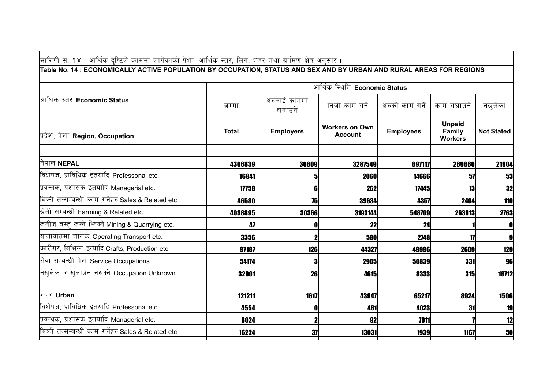## सारिणी सं. १४ : आर्थिक दृष्टिले काममा लागेकाको पेशा, आर्थिक स्तर, लिंग, शहर तथा ग्रामिण क्षेत्र अनुसार ।

## Table No. 14 : ECONOMICALLY ACTIVE POPULATION BY OCCUPATION, STATUS AND SEX AND BY URBAN AND RURAL AREAS FOR REGIONS

|                                                     | आर्थिक स्थिति Economic Status |                        |                                         |                  |                                           |                   |  |  |
|-----------------------------------------------------|-------------------------------|------------------------|-----------------------------------------|------------------|-------------------------------------------|-------------------|--|--|
| आर्थिक स्तर Economic Status                         | जम्मा                         | अरुलाई काममा<br>लगाउने | निजी काम गर्ने                          | अरुको काम गर्ने  | काम सघाउने                                | नखुलेका           |  |  |
| प्रदेश, पेशा Region, Occupation                     | <b>Total</b>                  | <b>Employers</b>       | <b>Workers on Own</b><br><b>Account</b> | <b>Employees</b> | <b>Unpaid</b><br>Family<br><b>Workers</b> | <b>Not Stated</b> |  |  |
| निपाल NEPAL                                         | 4306839                       | 30609                  | 3287549                                 | 697117           | 269660                                    | 21904             |  |  |
| विशेषज्ञ, प्राविधिक इतयादि Professonal etc.         | 16841                         | 5                      | 2060                                    | 14666            | 57                                        | 53                |  |  |
| प्रवन्धक, प्रशासक इतयादि Managerial etc.            | 17758                         | 6                      | 262                                     | 17445            | 13                                        | 32                |  |  |
| बिक्री तत्सम्बन्धी काम गर्नेहरु Sales & Related etc | 46580                         | 75                     | 39634                                   | 4357             | 2404                                      | <b>110</b>        |  |  |
| खिती सम्बन्धी Farming & Related etc.                | 4038895                       | 30366                  | 3193144                                 | 548709           | 263913                                    | 2763              |  |  |
| खनीज बस्तु खन्ने भिनको Mining & Quarrying etc.      | 47                            | 0                      | 22                                      | 24               |                                           | 0                 |  |  |
| यातायातमा चालक Operating Transport etc.             | 3356                          | $\mathbf 2$            | 580                                     | 2748             | 17                                        | 9                 |  |  |
| कारीगर, बिभिन्न इत्यादि Crafts, Production etc.     | 97187                         | 126                    | 44327                                   | 49996            | 2609                                      | 129               |  |  |
| सेवा सम्बन्धी पेशा Service Occupations              | 54174                         | 3                      | 2905                                    | 50839            | 331                                       | 96                |  |  |
| नखुलेका र खुलाउन नसक्ने Occupation Unknown          | 32001                         | 26                     | 4615                                    | 8333             | 315                                       | 18712             |  |  |
| शहर Urban                                           | 121211                        | 1617                   | 43947                                   | 65217            | 8924                                      | 1506              |  |  |
| विशेषज्ञ, प्राविधिक इतयादि Professonal etc.         | 4554                          | 0                      | 481                                     | 4023             | 31                                        | 19                |  |  |
| प्रवन्धक, प्रशासक इतयादि Managerial etc.            | 8024                          | $\mathbf 2$            | 92                                      | 7911             |                                           | 12                |  |  |
| बिक्री तत्सम्बन्धी काम गर्नेहरु Sales & Related etc | 16224                         | 37                     | 13031                                   | 1939             | 1167                                      | 50                |  |  |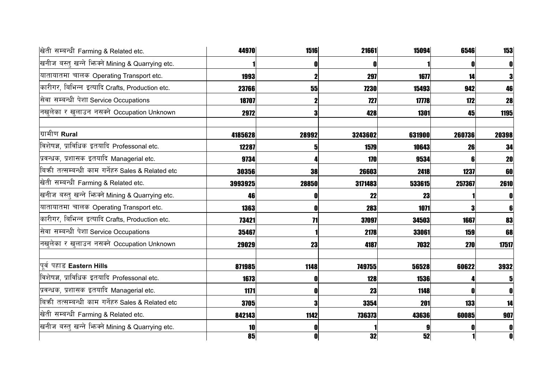| खिती सम्बन्धी Farming & Related etc.              | 44970   | 1516          | 21661       | 15094           | 6546       | 153          |
|---------------------------------------------------|---------|---------------|-------------|-----------------|------------|--------------|
| खनीज बस्तु खन्ने भिन्नने Mining & Quarrying etc.  |         | 0             |             |                 | 0          | O            |
| यातायातमा चालक Operating Transport etc.           | 1993    |               | 297         | 1677            | 14         | 3            |
| कारीगर, बिभिन्न इत्यादि Crafts, Production etc.   | 23766   | 55            | <b>7230</b> | 15493           | 942        | 46           |
| सेवा सम्बन्धी पेशा Service Occupations            | 18707   |               | 727         | 17778           | 172        | <b>28</b>    |
| नखुलेका र खुलाउन नसक्ने Occupation Unknown        | 2972    | 3             | 428         | 1301            | 45         | 1195         |
| ग्रामीण Rural                                     | 4185628 | 28992         | 3243602     | 631900          | 260736     | 20398        |
| विशेषज्ञ, प्राविधिक इतयादि Professonal etc.       | 12287   | 5             | 1579        | 10643           | 26         | 34           |
| प्रवन्धक, प्रशासक इतयादि Managerial etc.          | 9734    |               | 170         | 9534            |            | <b>20</b>    |
| बिकी तत्सम्बन्धी काम गर्नेहरु Sales & Related etc | 30356   | <b>38</b>     | 26603       | 2418            | 1237       | 60           |
| खेती सम्बन्धी Farming & Related etc.              | 3993925 | 28850         | 3171483     | 533615          | 257367     | 2610         |
| खनीज बस्तु खन्ने भिज्मे Mining & Quarrying etc.   | 46      | O             | 22          | 23              |            | O            |
| यातायातमा चालक Operating Transport etc.           | 1363    | O             | 283         | 1071            | 3          |              |
| कारीगर, बिभिन्न इत्यादि Crafts, Production etc.   | 73421   | $\mathbf{71}$ | 37097       | 34503           | 1667       | 83           |
| सेवा सम्बन्धी पेशा Service Occupations            | 35467   |               | 2178        | 33061           | 159        | 68           |
| नखुलेका र खुलाउन नसक्ने Occupation Unknown        | 29029   | 23            | 4187        | 7032            | <b>270</b> | 17517        |
| पूर्व पहाड Eastern Hills                          | 871985  | 1148          | 749755      | 56528           | 60622      | 3932         |
| विशेषज्ञ, प्राविधिक इतयादि Professonal etc.       | 1673    |               | 128         | 1536            |            |              |
| प्रवन्धक, प्रशासक इतयादि Managerial etc.          | 1171    | $\mathbf 0$   | 23          | 1148            | 0          | O            |
| बिकी तत्सम्बन्धी काम गर्नेहरु Sales & Related etc | 3705    | 3             | 3354        | 201             | 133        | 14           |
| खिती सम्बन्धी Farming & Related etc.              | 842143  | 1142          | 736373      | 43636           | 60085      | 907          |
| खनीज बस्तु खन्ने भिज्म्ने Mining & Quarrying etc. | 10      |               |             |                 |            | O            |
|                                                   | 85      | $\mathbf{0}$  | 32          | $\overline{52}$ |            | $\mathbf{0}$ |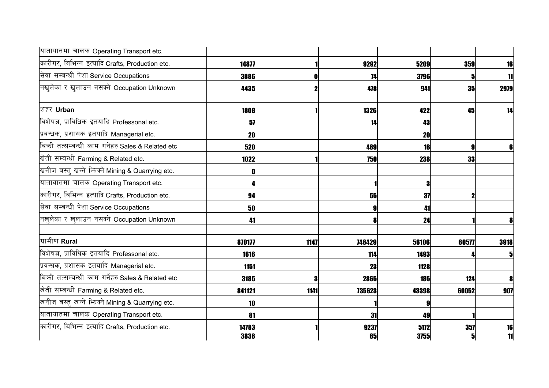| यातायातमा चालक Operating Transport etc.           |        |      |        |            |                |      |
|---------------------------------------------------|--------|------|--------|------------|----------------|------|
| कारीगर, बिभिन्न इत्यादि Crafts, Production etc.   | 14877  |      | 9292   | 5209       | 359            | 16   |
| सेवा सम्बन्धी पेशा Service Occupations            | 3886   |      | 74     | 3796       |                | 11   |
| नखलेका र खुलाउन नसक्ने Occupation Unknown         | 4435   | 2    | 478    | 941        | 35             | 2979 |
| शहर Urban                                         | 1808   |      | 1326   | 422        | 45             | 14   |
| विशेषज्ञ, प्राविधिक इतयादि Professonal etc.       | 57     |      | 14     | 43         |                |      |
| प्रवन्धक, प्रशासक इतयादि Managerial etc.          | 20     |      |        | 20         |                |      |
| बिकी तत्सम्बन्धी काम गर्नेहरु Sales & Related etc | 520    |      | 489    | 16         | g              |      |
| खिती सम्बन्धी Farming & Related etc.              | 1022   |      | 750    | 238        | 33             |      |
| खनीज बस्तु खन्ने भिनको Mining & Quarrying etc.    |        |      |        |            |                |      |
| यातायातमा चालक Operating Transport etc.           |        |      |        | 3          |                |      |
| कारीगर, बिभिन्न इत्यादि Crafts, Production etc.   | 94     |      | 55     | 37         |                |      |
| सेवा सम्बन्धी पेशा Service Occupations            | 50     |      | 9      | 41         |                |      |
| नखुलेका र खुलाउन नसक्ने Occupation Unknown        | 41     |      |        | 24         |                | 8    |
| ग्रामीण Rural                                     | 870177 | 1147 | 748429 | 56106      | 60577          | 3918 |
| विशेषज्ञ, प्राविधिक इतयादि Professonal etc.       | 1616   |      | 114    | 1493       |                |      |
| प्रवन्धक, प्रशासक इतयादि Managerial etc.          | 1151   |      | 23     | 1128       |                |      |
| बिकी तत्सम्बन्धी काम गर्नेहरु Sales & Related etc | 3185   |      | 2865   | <b>185</b> | 124            |      |
| खेती सम्बन्धी Farming & Related etc.              | 841121 | 1141 | 735623 | 43398      | 60052          | 907  |
| खनीज बस्तु खन्ने भिन्क्ने Mining & Quarrying etc. | 10     |      |        |            |                |      |
| यातायातमा चालक Operating Transport etc.           | 81     |      | 31     | 49         |                |      |
| कारीगर, बिभिन्न इत्यादि Crafts, Production etc.   | 14783  |      | 9237   | 5172       | 357            | 16   |
|                                                   | 3836   |      | 65     | 3755       | 5 <sub>l</sub> | 11   |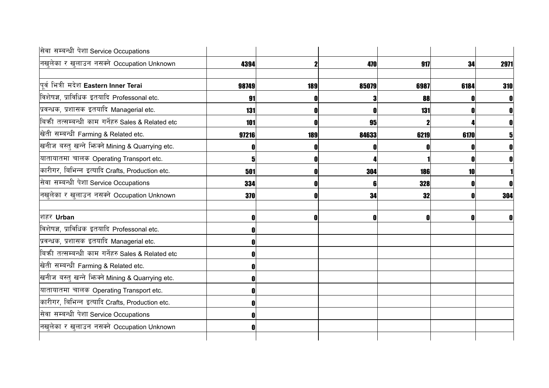| सेवा सम्बन्धी पेशा Service Occupations              |       |     |       |      |      |      |
|-----------------------------------------------------|-------|-----|-------|------|------|------|
| नखुलेका र खुलाउन नसक्ने Occupation Unknown          | 4394  | 2   | 470   | 917  | 34   | 2971 |
| पूर्व भित्री मदेश Eastern Inner Terai               | 98749 | 189 | 85079 | 6987 | 6184 | 310  |
| विशेषज्ञ, प्राविधिक इतयादि Professonal etc.         | 91    |     |       | 88   |      |      |
| प्रवन्धक, प्रशासक इतयादि Managerial etc.            | 131   | O   |       | 131  |      |      |
| बिक्री तत्सम्बन्धी काम गर्नेहरु Sales & Related etc | 101   |     | 95    |      |      |      |
| खेती सम्बन्धी Farming & Related etc.                | 97216 | 189 | 84633 | 6219 | 6170 |      |
| खनीज बस्तु खन्ने भिज्म्ने Mining & Quarrying etc.   |       |     |       |      |      |      |
| यातायातमा चालक Operating Transport etc.             |       |     |       |      |      |      |
| कारीगर, बिभिन्न इत्यादि Crafts, Production etc.     | 501   |     | 304   | 186  | 10   |      |
| सेवा सम्बन्धी पेशा Service Occupations              | 334   |     |       | 328  |      |      |
| नखुलेका र खुलाउन नसक्ने Occupation Unknown          | 370   | N   | 34    | 32   | 0    | 304  |
| शहर Urban                                           | 0     | 0   | n     | O    | n    | O    |
| विशेषज्ञ, प्राविधिक इतयादि Professonal etc.         |       |     |       |      |      |      |
| प्रवन्धक, प्रशासक इतयादि Managerial etc.            |       |     |       |      |      |      |
| बिकी तत्सम्बन्धी काम गर्नेहरु Sales & Related etc   |       |     |       |      |      |      |
| खेती सम्बन्धी Farming & Related etc.                |       |     |       |      |      |      |
| खनीज बस्तु खन्ने भिन्न्ने Mining & Quarrying etc.   |       |     |       |      |      |      |
| यातायातमा चालक Operating Transport etc.             |       |     |       |      |      |      |
| कारीगर, बिभिन्न इत्यादि Crafts, Production etc.     |       |     |       |      |      |      |
| सेवा सम्बन्धी पेशा Service Occupations              |       |     |       |      |      |      |
| नखुलेका र खुलाउन नसक्ने Occupation Unknown          |       |     |       |      |      |      |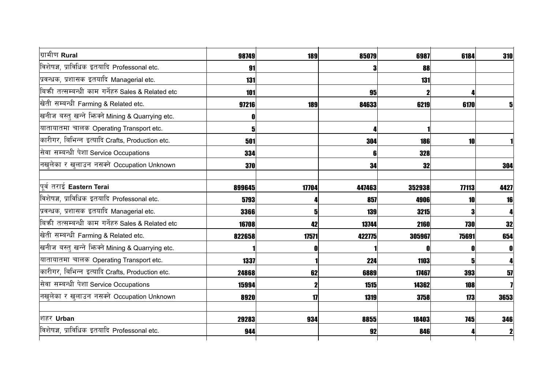| ग्रामीण Rural                                     | 98749  | 189   | 85079  | 6987   | 6184       | 310  |
|---------------------------------------------------|--------|-------|--------|--------|------------|------|
| विशेषज्ञ, प्राविधिक इतयादि Professonal etc.       | 91     |       |        | 88     |            |      |
| प्रवन्धक, प्रशासक इतयादि Managerial etc.          | 131    |       |        | 131    |            |      |
| बिकी तत्सम्बन्धी काम गर्नेहरु Sales & Related etc | 101    |       | 95     |        |            |      |
| खेती सम्बन्धी Farming & Related etc.              | 97216  | 189   | 84633  | 6219   | 6170       | 5    |
| खनीज बस्तु खन्ने भिन्क्ने Mining & Quarrying etc. | 0      |       |        |        |            |      |
| यातायातमा चालक Operating Transport etc.           |        |       |        |        |            |      |
| कारीगर, बिभिन्न इत्यादि Crafts, Production etc.   | 501    |       | 304    | 186    | 10         |      |
| सेवा सम्बन्धी पेशा Service Occupations            | 334    |       | 6      | 328    |            |      |
| नखुलेका र खुलाउन नसक्ने Occupation Unknown        | 370    |       | 34     | 32     |            | 304  |
| पूर्व तराई Eastern Terai                          | 899645 | 17704 | 447463 | 352938 | 77113      | 4427 |
| विशेषज्ञ, प्राविधिक इतयादि Professonal etc.       | 5793   |       | 857    | 4906   | 10         | 16   |
| प्रवन्धक, प्रशासक इतयादि Managerial etc.          | 3366   | 5     | 139    | 3215   | 3          |      |
| बिकी तत्सम्बन्धी काम गर्नेहरु Sales & Related etc | 16708  | 42    | 13744  | 2160   | 730        | 32   |
| खेती सम्बन्धी Farming & Related etc.              | 822658 | 17571 | 422775 | 305967 | 75691      | 654  |
| खनीज बस्तु खन्ने भिज्म्ने Mining & Quarrying etc. |        |       |        |        | 0          | O    |
| यातायातमा चालक Operating Transport etc.           | 1337   |       | 224    | 1103   | 5          |      |
| कारीगर, बिभिन्न इत्यादि Crafts, Production etc.   | 24868  | 62    | 6889   | 17467  | 393        | 57   |
| सेवा सम्बन्धी पेशा Service Occupations            | 15994  |       | 1515   | 14362  | 108        |      |
| नखुलेका र खुलाउन नसक्ने Occupation Unknown        | 8920   | 17    | 1319   | 3758   | 173        | 3653 |
| शहर Urban                                         | 29283  | 934   | 8855   | 18403  | <b>745</b> | 346  |
| विशेषज्ञ, प्राविधिक इतयादि Professonal etc.       | 944    |       | 92     | 846    |            |      |
|                                                   |        |       |        |        |            |      |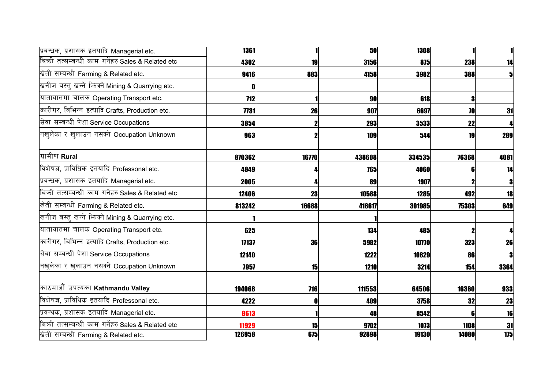| प्रवन्धक, प्रशासक इतयादि Managerial etc.          | 1361       |             | 50     | 1308   |                  |      |
|---------------------------------------------------|------------|-------------|--------|--------|------------------|------|
| बिकी तत्सम्बन्धी काम गर्नेहरु Sales & Related etc | 4302       | 19          | 3156   | 875    | 238              | 14   |
| खेती सम्बन्धी Farming & Related etc.              | 9416       | 883         | 4158   | 3982   | 388              | 5    |
| खनीज बस्तु खन्ने भिन्क्ने Mining & Quarrying etc. |            |             |        |        |                  |      |
| यातायातमा चालक Operating Transport etc.           | <b>712</b> |             | 90     | 618    | 3                |      |
| कारीगर, बिभिन्न इत्यादि Crafts, Production etc.   | 7731       | 26          | 907    | 6697   | 70               | 31   |
| सेवा सम्बन्धी पेशा Service Occupations            | 3854       |             | 293    | 3533   | 22               | 4    |
| नखुलेका र खुलाउन नसक्ने Occupation Unknown        | 963        | $\mathbf 2$ | 109    | 544    | 19               | 289  |
| ग्रामीण Rural                                     | 870362     | 16770       | 438608 | 334535 | 76368            | 4081 |
| विशेषज्ञ, प्राविधिक इतयादि Professonal etc.       | 4849       |             | 765    | 4060   | 61               | 14   |
| प्रवन्धक, प्रशासक इतयादि Managerial etc.          | 2005       |             | 89     | 1907   | 2                | 3    |
| बिकी तत्सम्बन्धी काम गर्नेहरु Sales & Related etc | 12406      | 23          | 10588  | 1285   | 492              | 18   |
| खेती सम्बन्धी Farming & Related etc.              | 813242     | 16688       | 418617 | 301985 | 75303            | 649  |
| खनीज बस्तु खन्ने भिनको Mining & Quarrying etc.    |            |             |        |        |                  |      |
| यातायातमा चालक Operating Transport etc.           | 625        |             | 134    | 485    | $\boldsymbol{2}$ |      |
| कारीगर, बिभिन्न इत्यादि Crafts, Production etc.   | 17137      | 36          | 5982   | 10770  | 323              | 26   |
| सेवा सम्बन्धी पेशा Service Occupations            | 12140      |             | 1222   | 10829  | 86               | 3    |
| नखुलेका र खुलाउन नसक्ने Occupation Unknown        | 7957       | 15          | 1210   | 3214   | 154              | 3364 |
| काठमाडौँ उपत्यका Kathmandu Valley                 | 194068     | 716         | 111553 | 64506  | 16360            | 933  |
| विशेषज्ञ, प्राविधिक इतयादि Professonal etc.       | 4222       |             | 409    | 3758   | 32               | 23   |
| प्रवन्धक, प्रशासक इतयादि Managerial etc.          | 8613       |             | 48     | 8542   | 6                | 16   |
| बिकी तत्सम्बन्धी काम गर्नेहरु Sales & Related etc | 11929      | 15          | 9702   | 1073   | 1108             | 31   |
| खिती सम्बन्धी Farming & Related etc.              | 126958     | 675         | 92898  | 19130  | 14080            | 175  |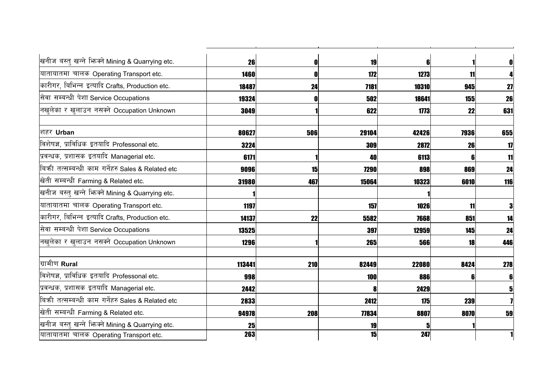| खनीज बस्तु खन्ने भिन्न्ने Mining & Quarrying etc.   | 26     | 0   | 19    | ĥ     |      |     |
|-----------------------------------------------------|--------|-----|-------|-------|------|-----|
| यातायातमा चालक Operating Transport etc.             | 1460   | 0   | 172   | 1273  | 11   |     |
| कारीगर, बिभिन्न इत्यादि Crafts, Production etc.     | 18487  | 24  | 7181  | 10310 | 945  | 27  |
| सेवा सम्बन्धी पेशा Service Occupations              | 19324  | 0   | 502   | 18641 | 155  | 26  |
| नखुलेका र खुलाउन नसक्ने Occupation Unknown          | 3049   |     | 622   | 1773  | 22   | 631 |
| शहर Urban                                           | 80627  | 506 | 29104 | 42426 | 7936 | 655 |
| विशेषज्ञ, प्राविधिक इतयादि Professonal etc.         | 3224   |     | 309   | 2872  | 26   | 17  |
| प्रवन्धक, प्रशासक इतयादि Managerial etc.            | 6171   |     | 40    | 6113  |      | 11  |
| बिक्री तत्सम्बन्धी काम गर्नेहरु Sales & Related etc | 9096   | 15  | 7290  | 898   | 869  | 24  |
| खिती सम्बन्धी Farming & Related etc.                | 31980  | 467 | 15064 | 10323 | 6010 | 116 |
| खनीज बस्तु खन्ने भिज्म्ने Mining & Quarrying etc.   |        |     |       |       |      |     |
| यातायातमा चालक Operating Transport etc.             | 1197   |     | 157   | 1026  | 11   |     |
| कारीगर, बिभिन्न इत्यादि Crafts, Production etc.     | 14137  | 22  | 5582  | 7668  | 851  | 14  |
| सेवा सम्बन्धी पेशा Service Occupations              | 13525  |     | 397   | 12959 | 145  | 24  |
| नखुलेका र खुलाउन नसक्ने Occupation Unknown          | 1296   |     | 265   | 566   | 18   | 446 |
| ग्रामीण Rural                                       | 113441 | 210 | 82449 | 22080 | 8424 | 278 |
| विशेषज्ञ, प्राविधिक इतयादि Professonal etc.         | 998    |     | 100   | 886   |      |     |
| प्रवन्धक, प्रशासक इतयादि Managerial etc.            | 2442   |     |       | 2429  |      |     |
| बिकी तत्सम्बन्धी काम गर्नेहरु Sales & Related etc   | 2833   |     | 2412  | 175   | 239  |     |
| खेती सम्बन्धी Farming & Related etc.                | 94978  | 208 | 77834 | 8807  | 8070 | 59  |
| खनीज बस्तु खन्ने भिन्नमे Mining & Quarrying etc.    | 25     |     | 19    |       |      |     |
| यातायातमा चालक Operating Transport etc.             | 263    |     | 15    | 247   |      |     |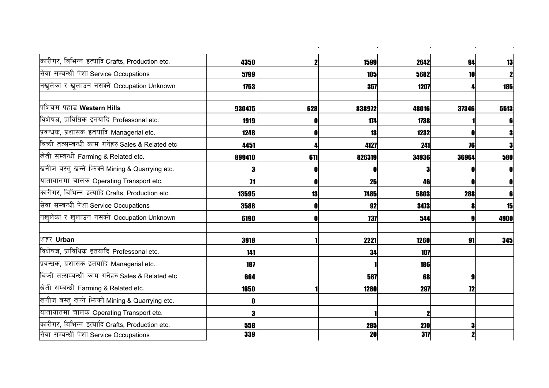| कारीगर, बिभिन्न इत्यादि Crafts, Production etc.     |                 |     |           |       |       |            |
|-----------------------------------------------------|-----------------|-----|-----------|-------|-------|------------|
|                                                     | 4350            |     | 1599      | 2642  | 94    | 13         |
| सेवा सम्बन्धी पेशा Service Occupations              | 5799            |     | 105       | 5682  | 10    |            |
| नखुलेका र खुलाउन नसक्ने Occupation Unknown          | 1753            |     | 357       | 1207  |       | <b>185</b> |
| पिश्चिम पहाड Western Hills                          | 930475          | 628 | 838972    | 48016 | 37346 | 5513       |
| विशेषज्ञ, प्राविधिक इतयादि Professonal etc.         | 1919            |     | 174       | 1738  |       |            |
| प्रवन्धक, प्रशासक इतयादि Managerial etc.            | 1248            |     | 13        | 1232  | 0     |            |
| बिक्री तत्सम्बन्धी काम गर्नेहरु Sales & Related etc | 4451            |     | 4127      | 241   | 76    | 3          |
| खिती सम्बन्धी Farming & Related etc.                | 899410          | 611 | 826319    | 34936 | 36964 | 580        |
| खनीज बस्तु खन्ने भिनको Mining & Quarrying etc.      |                 |     |           |       |       |            |
| यातायातमा चालक Operating Transport etc.             | $\overline{11}$ |     | 25        | 46    |       |            |
| कारीगर, बिभिन्न इत्यादि Crafts, Production etc.     | 13595           | 13  | 7485      | 5803  | 288   |            |
| सेवा सम्बन्धी पेशा Service Occupations              | 3588            |     | 92        | 3473  | 8     | 15         |
| नखुलेका र खुलाउन नसक्ने Occupation Unknown          | 6190            | Λ   | 737       | 544   | 9     | 4900       |
| शिहर Urban                                          | 3918            |     | 2221      | 1260  | 91    | 345        |
| विशेषज्ञ, प्राविधिक इतयादि Professonal etc.         | 141             |     | 34        | 107   |       |            |
| प्रवन्धक, प्रशासक इतयादि Managerial etc.            | 187             |     |           | 186   |       |            |
| बिक्री तत्सम्बन्धी काम गर्नेहरु Sales & Related etc | 664             |     | 587       | 68    | 9     |            |
| खिती सम्बन्धी Farming & Related etc.                | 1650            |     | 1280      | 297   | 72    |            |
| खनीज बस्तु खन्ने भिनको Mining & Quarrying etc.      | n               |     |           |       |       |            |
| यातायातमा चालक Operating Transport etc.             | 3               |     |           | 2     |       |            |
| कारीगर, बिभिन्न इत्यादि Crafts, Production etc.     | 558             |     | 285       | 270   |       |            |
| सिवा सम्बन्धी पेशा Service Occupations              | 339             |     | <b>20</b> | 317   |       |            |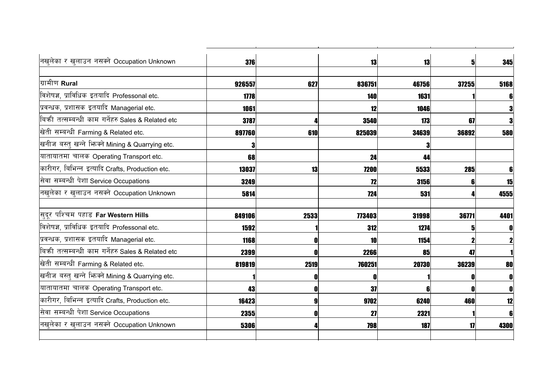| नखुलेका र खुलाउन नसक्ने Occupation Unknown        | 376    |      | 13     | 13    | $\mathbf{5}$ | 345  |
|---------------------------------------------------|--------|------|--------|-------|--------------|------|
| ग्रामीण Rural                                     | 926557 | 627  | 836751 | 46756 | 37255        | 5168 |
| विशेषज्ञ, प्राविधिक इतयादि Professonal etc.       | 1778   |      | 140    | 1631  |              | 6    |
| प्रवन्धक, प्रशासक इतयादि Managerial etc.          | 1061   |      | 12     | 1046  |              | 3    |
| बिकी तत्सम्बन्धी काम गर्नेहरु Sales & Related etc | 3787   |      | 3540   | 173   | 67           | 3    |
| खेती सम्बन्धी Farming & Related etc.              | 897760 | 610  | 825039 | 34639 | 36892        | 580  |
| खनीज बस्तु खन्ने भििक्ने Mining & Quarrying etc.  | З      |      |        | 3     |              |      |
| यातायातमा चालक Operating Transport etc.           | 68     |      | 24     | 44    |              |      |
| कारीगर, बिभिन्न इत्यादि Crafts, Production etc.   | 13037  | 13   | 7200   | 5533  | 285          |      |
| सेवा सम्बन्धी पेशा Service Occupations            | 3249   |      | 12     | 3156  |              | 15   |
| नखुलेका र खुलाउन नसक्ने Occupation Unknown        | 5814   |      | 724    | 531   |              | 4555 |
| सिद्र पश्चिम पहाड Far Western Hills               | 849106 | 2533 | 773403 | 31998 | 36771        | 4401 |
| विशेषज्ञ, प्राविधिक इतयादि Professonal etc.       | 1592   |      | 312    | 1274  |              | 0    |
| प्रवन्धक, प्रशासक इतयादि Managerial etc.          | 1168   |      | 10     | 1154  |              |      |
| बिकी तत्सम्बन्धी काम गर्नेहरु Sales & Related etc | 2399   |      | 2266   | 85    | 47           |      |
| खेती सम्बन्धी Farming & Related etc.              | 819819 | 2519 | 760251 | 20730 | 36239        | 80   |
| खनीज बस्तु खन्ने भिनको Mining & Quarrying etc.    |        | 0    | ſ      |       | 0            | O    |
| यातायातमा चालक Operating Transport etc.           | 43     | 0    | 37     | ĥ     | n            | O    |
| कारीगर, बिभिन्न इत्यादि Crafts, Production etc.   | 16423  | g    | 9702   | 6240  | 460          | 12   |
| सेवा सम्बन्धी पेशा Service Occupations            | 2355   |      | 27     | 2321  |              | 6    |
| नखुलेका र खुलाउन नसक्ने Occupation Unknown        | 5306   |      | 798    | 187   | $\mathbf{1}$ | 4300 |
|                                                   |        |      |        |       |              |      |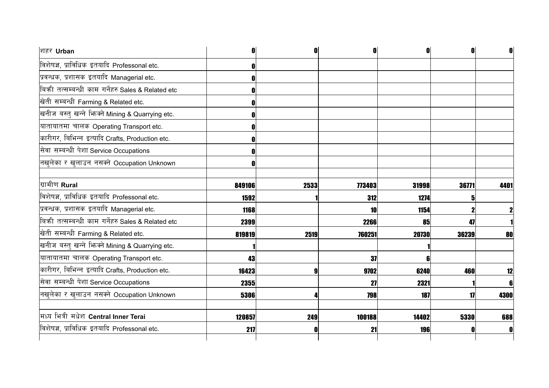| शहर Urban                                         | n      | N    |        | O     | 0            | O           |
|---------------------------------------------------|--------|------|--------|-------|--------------|-------------|
| विशेषज्ञ, प्राविधिक इतयादि Professonal etc.       |        |      |        |       |              |             |
| प्रवन्धक, प्रशासक इतयादि Managerial etc.          | 0      |      |        |       |              |             |
| बिकी तत्सम्बन्धी काम गर्नेहरु Sales & Related etc | N      |      |        |       |              |             |
| खेती सम्बन्धी Farming & Related etc.              | 0      |      |        |       |              |             |
| खनीज बस्तु खन्ने भिज्मे Mining & Quarrying etc.   | ſ      |      |        |       |              |             |
| यातायातमा चालक Operating Transport etc.           | N      |      |        |       |              |             |
| कारीगर, बिभिन्न इत्यादि Crafts, Production etc.   |        |      |        |       |              |             |
| सेवा सम्बन्धी पेशा Service Occupations            |        |      |        |       |              |             |
| नखुलेका र खुलाउन नसक्ने Occupation Unknown        | 0      |      |        |       |              |             |
| ग्रामीण Rural                                     | 849106 | 2533 | 773403 | 31998 | 36771        | 4401        |
| विशेषज्ञ, प्राविधिक इतयादि Professonal etc.       | 1592   |      | 312    | 1274  |              |             |
| प्रवन्धक, प्रशासक इतयादि Managerial etc.          | 1168   |      | 10     | 1154  |              | $\mathbf 2$ |
| बिकी तत्सम्बन्धी काम गर्नेहरु Sales & Related etc | 2399   |      | 2266   | 85    | 47           |             |
| खेती सम्बन्धी Farming & Related etc.              | 819819 | 2519 | 760251 | 20730 | 36239        | 80          |
| खनीज बस्तु खन्ने भिनको Mining & Quarrying etc.    |        |      |        |       |              |             |
| यातायातमा चालक Operating Transport etc.           | 43     |      | 37     | 6     |              |             |
| कारीगर, बिभिन्न इत्यादि Crafts, Production etc.   | 16423  |      | 9702   | 6240  | 460          | 12          |
| सेवा सम्बन्धी पेशा Service Occupations            | 2355   |      | 27     | 2321  |              | 6           |
| नखलेका र खुलाउन नसक्ने Occupation Unknown         | 5306   |      | 798    | 187   | $\mathbf{1}$ | 4300        |
| मिध्य भित्री मधेश Central Inner Terai             | 120857 | 249  | 100188 | 14402 | 5330         | 688         |
| विशेषज्ञ, प्राविधिक इतयादि Professonal etc.       | 217    |      | 21     | 196   |              | O           |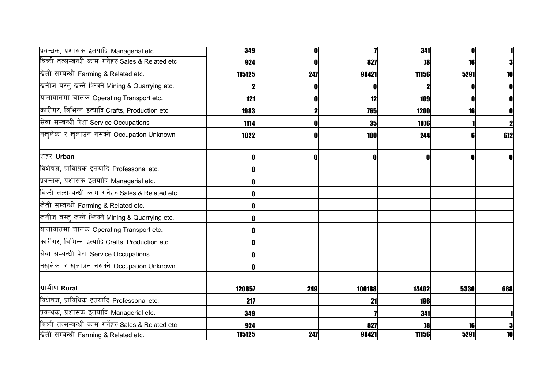| प्रवन्धक, प्रशासक इतयादि Managerial etc.          | 349    |     |        | 341   | n    |     |
|---------------------------------------------------|--------|-----|--------|-------|------|-----|
| बिकी तत्सम्बन्धी काम गर्नेहरु Sales & Related etc | 924    |     | 827    | 78    | 16   |     |
| खेती सम्बन्धी Farming & Related etc.              | 115125 | 247 | 98421  | 11156 | 5291 | 10  |
| खनीज बस्तु खन्ने भिन्क्ने Mining & Quarrying etc. |        |     |        |       |      |     |
| यातायातमा चालक Operating Transport etc.           | 121    |     | 12     | 109   | 0    |     |
| कारीगर, बिभिन्न इत्यादि Crafts, Production etc.   | 1983   |     | 765    | 1200  | 16   |     |
| सेवा सम्बन्धी पेशा Service Occupations            | 1114   |     | 35     | 1076  |      |     |
| नखुलेका र खुलाउन नसक्ने Occupation Unknown        | 1022   |     | 100    | 244   | 6    | 672 |
| शहर Urban                                         |        | n   |        | 0     | 0    |     |
| विशेषज्ञ, प्राविधिक इतयादि Professonal etc.       |        |     |        |       |      |     |
| प्रवन्धक, प्रशासक इतयादि Managerial etc.          | n      |     |        |       |      |     |
| बिकी तत्सम्बन्धी काम गर्नेहरु Sales & Related etc |        |     |        |       |      |     |
| खिती सम्बन्धी Farming & Related etc.              | n      |     |        |       |      |     |
| खनीज बस्तु खन्ने भिज्म्ने Mining & Quarrying etc. |        |     |        |       |      |     |
| यातायातमा चालक Operating Transport etc.           |        |     |        |       |      |     |
| कारीगर, बिभिन्न इत्यादि Crafts, Production etc.   |        |     |        |       |      |     |
| सेवा सम्बन्धी पेशा Service Occupations            |        |     |        |       |      |     |
| नखुलेका र खुलाउन नसक्ने Occupation Unknown        |        |     |        |       |      |     |
| ग्रामीण Rural                                     | 120857 | 249 | 100188 | 14402 | 5330 | 688 |
| विशेषज्ञ, प्राविधिक इतयादि Professonal etc.       | 217    |     | 21     | 196   |      |     |
| प्रवन्धक, प्रशासक इतयादि Managerial etc.          | 349    |     |        | 341   |      |     |
| बिकी तत्सम्बन्धी काम गर्नेहरु Sales & Related etc | 924    |     | 827    | 78    | 16   |     |
| खिती सम्बन्धी Farming & Related etc.              | 115125 | 247 | 98421  | 11156 | 5291 | 10  |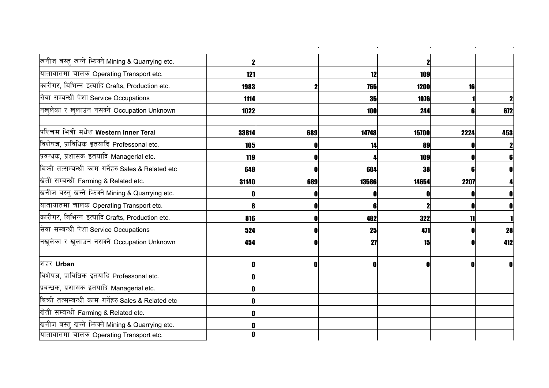| खनीज बस्तु खन्ने भिन्नने Mining & Quarrying etc.  |       |     |       |       |      |     |
|---------------------------------------------------|-------|-----|-------|-------|------|-----|
| यातायातमा चालक Operating Transport etc.           | 121   |     | 12    | 109   |      |     |
| कारीगर, बिभिन्न इत्यादि Crafts, Production etc.   | 1983  |     | 765   | 1200  | 16   |     |
| सेवा सम्बन्धी पेशा Service Occupations            | 1114  |     | 35    | 1076  |      |     |
| नखलेका र खुलाउन नसक्ने Occupation Unknown         | 1022  |     | 100   | 244   |      | 672 |
| पश्चिम भित्री मधेश Western Inner Terai            | 33814 | 689 | 14748 | 15700 | 2224 | 453 |
| विशेषज्ञ, प्राविधिक इतयादि Professonal etc.       | 105   |     |       | 89    |      |     |
| प्रवन्धक, प्रशासक इतयादि Managerial etc.          | 119   | 0   |       | 109   |      |     |
| बिकी तत्सम्बन्धी काम गर्नेहरु Sales & Related etc | 648   | O   | 604   | 38    |      |     |
| खेती सम्बन्धी Farming & Related etc.              | 31140 | 689 | 13586 | 14654 | 2207 |     |
| खनीज बस्तु खन्ने भिन्क्ने Mining & Quarrying etc. |       | 0   |       |       |      |     |
| यातायातमा चालक Operating Transport etc.           |       | 0   |       |       |      |     |
| कारीगर, बिभिन्न इत्यादि Crafts, Production etc.   | 816   | 0   | 482   | 322   | 11   |     |
| सेवा सम्बन्धी पेशा Service Occupations            | 524   | 0   | 25    | 471   |      | 28  |
| नखुलेका र खुलाउन नसक्ने Occupation Unknown        | 454   | 0   | 27    | 15    |      | 412 |
| शहर Urban                                         |       | 0   |       |       |      |     |
| विशेषज्ञ, प्राविधिक इतयादि Professonal etc.       |       |     |       |       |      |     |
| प्रवन्धक, प्रशासक इतयादि Managerial etc.          |       |     |       |       |      |     |
| बिकी तत्सम्बन्धी काम गर्नेहरु Sales & Related etc |       |     |       |       |      |     |
| खेती सम्बन्धी Farming & Related etc.              |       |     |       |       |      |     |
| खनीज बस्तु खन्ने भिज्म्ने Mining & Quarrying etc. |       |     |       |       |      |     |
| यातायातमा चालक Operating Transport etc.           |       |     |       |       |      |     |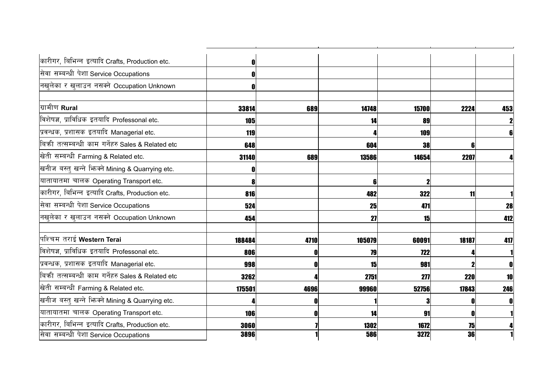| कारीगर, बिभिन्न इत्यादि Crafts, Production etc.   |        |      |        |            |            |     |
|---------------------------------------------------|--------|------|--------|------------|------------|-----|
| सेवा सम्बन्धी पेशा Service Occupations            |        |      |        |            |            |     |
| नखुलेका र खुलाउन नसक्ने Occupation Unknown        | n      |      |        |            |            |     |
| ग्रामीण Rural                                     | 33814  | 689  | 14748  | 15700      | 2224       | 453 |
| विशेषज्ञ, प्राविधिक इतयादि Professonal etc.       | 105    |      |        | 89         |            |     |
| प्रवन्धक, प्रशासक इतयादि Managerial etc.          | 119    |      |        | 109        |            |     |
| बिकी तत्सम्बन्धी काम गर्नेहरु Sales & Related etc | 648    |      | 604    | 38         |            |     |
| खिती सम्बन्धी Farming & Related etc.              | 31140  | 689  | 13586  | 14654      | 2207       |     |
| खनीज बस्तु खन्ने भिन्क्ने Mining & Quarrying etc. |        |      |        |            |            |     |
| यातायातमा चालक Operating Transport etc.           |        |      |        |            |            |     |
| कारीगर, बिभिन्न इत्यादि Crafts, Production etc.   | 816    |      | 482    | 322        | 11         |     |
| सेवा सम्बन्धी पेशा Service Occupations            | 524    |      | 25     | 471        |            | 28  |
| नखुलेका र खुलाउन नसक्ने Occupation Unknown        | 454    |      | 27     | 15         |            | 412 |
| पिश्चिम तराई Western Terai                        | 188484 | 4710 | 105079 | 60091      | 18187      | 417 |
| विशेषज्ञ, प्राविधिक इतयादि Professonal etc.       | 806    | n    | 79     | <b>722</b> |            |     |
| प्रवन्धक, प्रशासक इतयादि Managerial etc.          | 998    | O    | 15     | 981        |            |     |
| बिकी तत्सम्बन्धी काम गर्नेहरु Sales & Related etc | 3262   |      | 2751   | 277        | <b>220</b> |     |
| खेती सम्बन्धी Farming & Related etc.              | 175501 | 4696 | 99960  | 52756      | 17843      | 246 |
| खनीज बस्तु खन्ने भिज्मने Mining & Quarrying etc.  |        |      |        |            |            |     |
| यातायातमा चालक Operating Transport etc.           | 106    |      | 14     | 91         |            |     |
| कारीगर, बिभिन्न इत्यादि Crafts, Production etc.   | 3060   |      | 1302   | 1672       | 75         |     |
| सेवा सम्बन्धी पेशा Service Occupations            | 3896   |      | 586    | 3272       | 36         |     |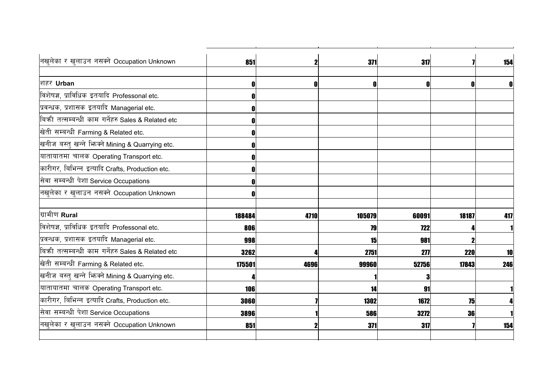| नखुलेका र खुलाउन नसक्ने Occupation Unknown        | 851    | 2           | 371    | 317        |                       | 154 |
|---------------------------------------------------|--------|-------------|--------|------------|-----------------------|-----|
| शिहर Urban                                        | 0      | $\mathbf 0$ | ſ      | O          | $\mathbf{\mathbf{0}}$ |     |
| विशेषज्ञ, प्राविधिक इतयादि Professonal etc.       |        |             |        |            |                       |     |
| प्रवन्धक, प्रशासक इतयादि Managerial etc.          |        |             |        |            |                       |     |
| बिकी तत्सम्बन्धी काम गर्नेहरु Sales & Related etc |        |             |        |            |                       |     |
| खेती सम्बन्धी Farming & Related etc.              | Λ      |             |        |            |                       |     |
| खनीज बस्तु खन्ने भिन्नमे Mining & Quarrying etc.  |        |             |        |            |                       |     |
| यातायातमा चालक Operating Transport etc.           | Λ      |             |        |            |                       |     |
| कारीगर, बिभिन्न इत्यादि Crafts, Production etc.   |        |             |        |            |                       |     |
| सेवा सम्बन्धी पेशा Service Occupations            |        |             |        |            |                       |     |
| नखुलेका र खुलाउन नसक्ने Occupation Unknown        |        |             |        |            |                       |     |
| ग्रामीण Rural                                     | 188484 | 4710        | 105079 | 60091      | 18187                 | 417 |
| विशेषज्ञ, प्राविधिक इतयादि Professonal etc.       | 806    |             | 79     | <b>722</b> |                       |     |
| प्रवन्धक, प्रशासक इतयादि Managerial etc.          | 998    |             | 15     | 981        |                       |     |
| बिकी तत्सम्बन्धी काम गर्नेहरु Sales & Related etc | 3262   |             | 2751   | 277        | 220                   | 10  |
| खेती सम्बन्धी Farming & Related etc.              | 175501 | 4696        | 99960  | 52756      | 17843                 | 246 |
| खनीज बस्तु खन्ने भिज्म्ने Mining & Quarrying etc. |        |             |        | Я          |                       |     |
| यातायातमा चालक Operating Transport etc.           | 106    |             | 14     | 91         |                       |     |
| कारीगर, बिभिन्न इत्यादि Crafts, Production etc.   | 3060   |             | 1302   | 1672       | 75                    |     |
| सेवा सम्बन्धी पेशा Service Occupations            | 3896   |             | 586    | 3272       | 36                    |     |
| नखुलेका र खुलाउन नसक्ने Occupation Unknown        | 851    |             | 371    | 317        |                       | 154 |
|                                                   |        |             |        |            |                       |     |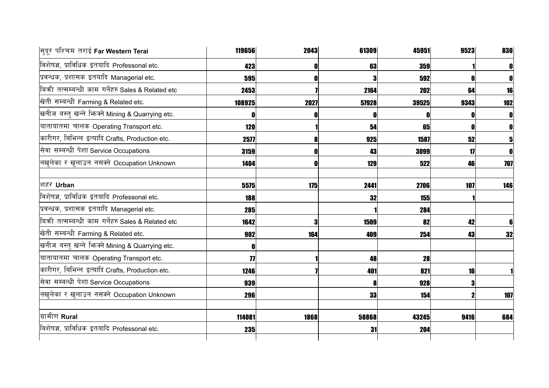| सुदूर पश्चिम तराई Far Western Terai               | 119656             | 2043 | 61309 | 45951      | 9523 | 830 |
|---------------------------------------------------|--------------------|------|-------|------------|------|-----|
| विशेषज्ञ, प्राविधिक इतयादि Professonal etc.       | 423                |      | 63    | 359        |      |     |
| प्रवन्धक, प्रशासक इतयादि Managerial etc.          | 595                |      |       | 592        |      |     |
| बिकी तत्सम्बन्धी काम गर्नेहरु Sales & Related etc | 2453               |      | 2164  | 202        | 64   | 16  |
| खेती सम्बन्धी Farming & Related etc.              | 108925             | 2027 | 57928 | 39525      | 9343 | 102 |
| खनीज बस्तु खन्ने भिज्म्ने Mining & Quarrying etc. | 0                  |      |       |            |      |     |
| यातायातमा चालक Operating Transport etc.           | <b>120</b>         |      | 54    | 65         |      |     |
| कारीगर, बिभिन्न इत्यादि Crafts, Production etc.   | 2577               |      | 925   | 1587       | 52   |     |
| सेवा सम्बन्धी पेशा Service Occupations            | 3159               |      | 43    | 3099       | 17   |     |
| नखुलेका र खुलाउन नसक्ने Occupation Unknown        | 1404               |      | 129   | 522        | 46   | 707 |
| शहर Urban                                         | 5575               | 175  | 2441  | 2706       | 107  | 146 |
| विशेषज्ञ, प्राविधिक इतयादि Professonal etc.       | 188                |      | 32    | <b>155</b> |      |     |
| प्रवन्धक, प्रशासक इतयादि Managerial etc.          | 285                |      |       | 284        |      |     |
| बिकी तत्सम्बन्धी काम गर्नेहरु Sales & Related etc | 1642               |      | 1509  | 82         | 42   |     |
| खेती सम्बन्धी Farming & Related etc.              | 902                | 164  | 409   | 254        | 43   | 32  |
| खनीज बस्तु खन्ने भिनको Mining & Quarrying etc.    | 0                  |      |       |            |      |     |
| यातायातमा चालक Operating Transport etc.           | $\overline{\bf 7}$ |      | 48    | 28         |      |     |
| कारीगर, बिभिन्न इत्यादि Crafts, Production etc.   | 1246               |      | 401   | 821        | 16   |     |
| सेवा सम्बन्धी पेशा Service Occupations            | 939                |      |       | 928        |      |     |
| नखुलेका र खुलाउन नसक्ने Occupation Unknown        | 296                |      | 33    | 154        |      | 107 |
| ग्रामीण Rural                                     | 114081             | 1868 | 58868 | 43245      | 9416 | 684 |
| विशेषज्ञ, प्राविधिक इतयादि Professonal etc.       | 235                |      | 31    | 204        |      |     |